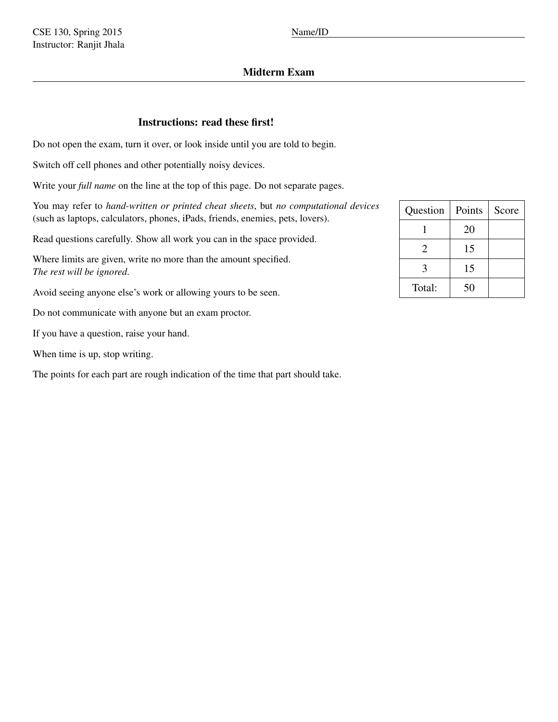# Midterm Exam

## Instructions: read these first!

Do not open the exam, turn it over, or look inside until you are told to begin.

Switch off cell phones and other potentially noisy devices.

Write your *full name* on the line at the top of this page. Do not separate pages.

You may refer to *hand-written or printed cheat sheets*, but *no computational devices* (such as laptops, calculators, phones, iPads, friends, enemies, pets, lovers).

Read questions carefully. Show all work you can in the space provided.

Where limits are given, write no more than the amount specified. *The rest will be ignored*.

Avoid seeing anyone else's work or allowing yours to be seen.

Do not communicate with anyone but an exam proctor.

If you have a question, raise your hand.

When time is up, stop writing.

The points for each part are rough indication of the time that part should take.

| Question | Points | Score |
|----------|--------|-------|
|          | 20     |       |
| 2        | 15     |       |
| 3        | 15     |       |
| Total:   | 50     |       |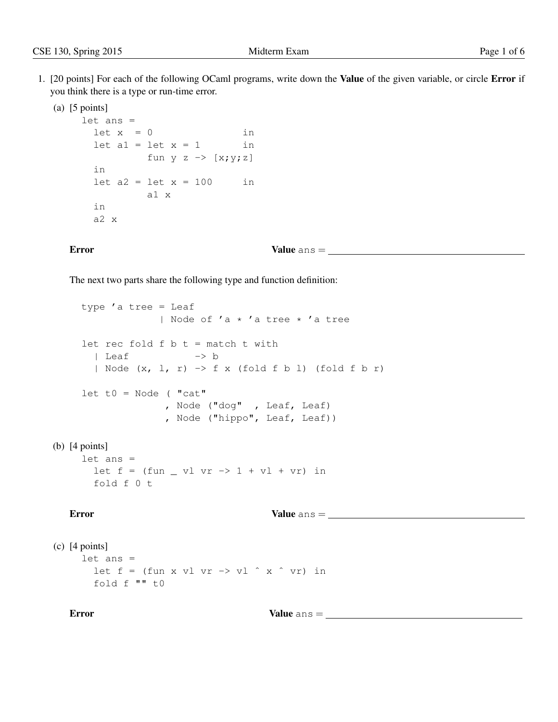- 1. [20 points] For each of the following OCaml programs, write down the Value of the given variable, or circle Error if you think there is a type or run-time error.
	- (a)  $[5 \text{ points}]$

```
let ans =
 let x = 0 in
 let a1 = let x = 1 in
         fun y z \rightarrow [x;y;z]
 in
 let a2 = 1et x = 100 in
        a1 x
 in
 a2 x
```
### Error Value ans =

The next two parts share the following type and function definition:

```
type 'a tree = Leaf
                  | Node of 'a * 'a tree * 'a tree
     let rec fold f b t = match t with
       | Leaf - b
       | Node (x, l, r) \rightarrow f x (fold f b l) (fold f b r)
    let t0 = Node ("cat"
                    , Node ("dog" , Leaf, Leaf)
                    , Node ("hippo", Leaf, Leaf))
(b) [4 points]
     let ans =
       let f = (fun - vl vr \rightarrow 1 + vl + vr) in
       fold f 0 t
```

```
Error Value ans =
```

```
(c) [4 points]
     let ans =
       let f = (fun x vl vr \rightarrow vl \hat{x} v'fold f "" t0
```
Error Value ans =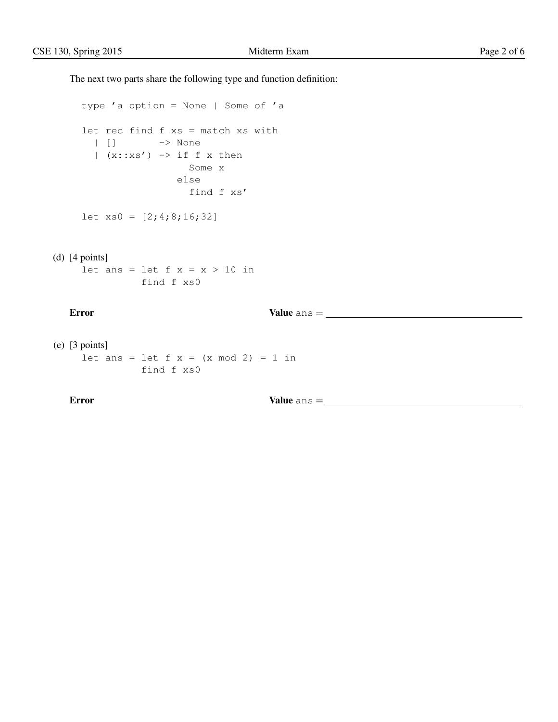The next two parts share the following type and function definition:

```
type 'a option = None | Some of 'a
let rec find f xs = match xs with
 | [] -> None
 | (x::xs') \rightarrow if f x then
                  Some x
                else
                  find f xs'
```
let xs0 = [2;4;8;16;32]

```
(d) [4 points]
     let ans = let f x = x > 10 in
               find f xs0
```
Error Value ans =

```
(e) [3 points]
     let ans = let f(x) = (x \mod 2) = 1 in
                find f xs0
```
Error Value ans =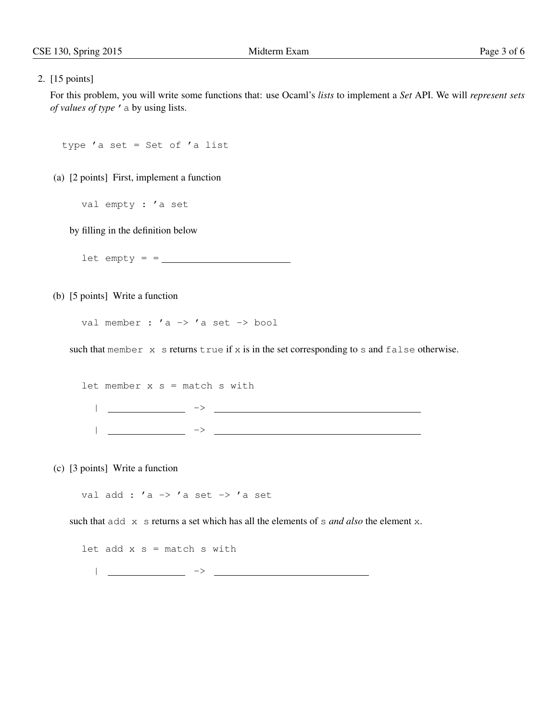### 2. [15 points]

For this problem, you will write some functions that: use Ocaml's *lists* to implement a *Set* API. We will *represent sets of values of type* 'a by using lists.

```
type 'a set = Set of 'a list
```
(a) [2 points] First, implement a function

val empty : 'a set

by filling in the definition below

 $let empty = 2$ 

(b) [5 points] Write a function

val member : 'a -> 'a set -> bool

such that member  $x$  s returns true if  $x$  is in the set corresponding to s and false otherwise.

let member  $x s =$  match s with | -> | ->

(c) [3 points] Write a function

val add :  $'a \rightarrow 'a$  set  $\rightarrow 'a$  set

such that add x s returns a set which has all the elements of s *and also* the element x.

let add  $x s =$  match s with

| ->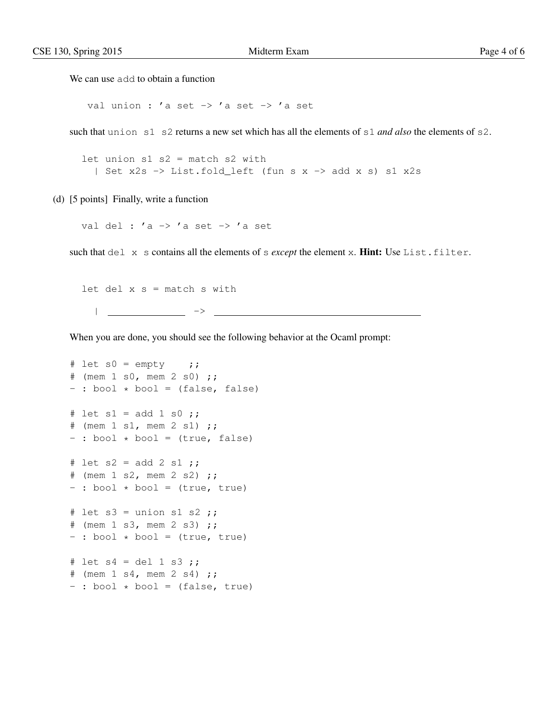We can use add to obtain a function

val union : 'a set -> 'a set -> 'a set

such that union s1 s2 returns a new set which has all the elements of s1 *and also* the elements of s2.

```
let union s1 s2 = match s2 with
 | Set x2s -> List.fold_left (fun s x -> add x s) s1 x2s
```
(d) [5 points] Finally, write a function

val del : 'a -> 'a set -> 'a set

such that del x s contains all the elements of s *except* the element x. **Hint:** Use List.filter.

```
let del x s = match s with
  | ->
                         <u> 1980 - Johann Barbara, martxa alemaniar a</u>
```
When you are done, you should see the following behavior at the Ocaml prompt:

```
# let s0 = \text{empty} ;;
\# (mem 1 s0, mem 2 s0);
- : bool * bool = (false, false)
# let s1 = add 1 s0;
# (mem 1 s1, mem 2 s1);
- : bool * bool = (true, false)
# let s2 = add 2 s1;
# (mem 1 s2, mem 2 s2) ;;
- : bool * bool = (true, true)
# let s3 = union s1 s2 ;;
# (mem 1 s3, mem 2 s3) ;;
- : bool * bool = (true, true)
# let s4 = del 1 s3 ;# (mem 1 s4, mem 2 s4) ;;
- : bool * bool = (false, true)
```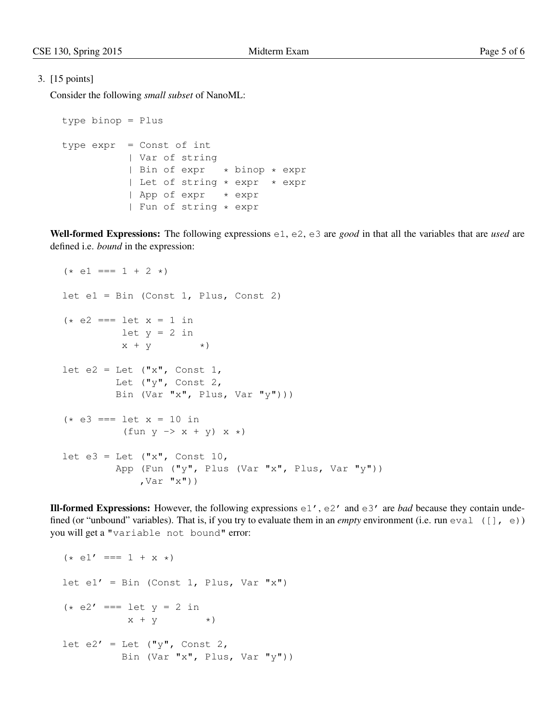## 3. [15 points]

Consider the following *small subset* of NanoML:

```
type binop = Plus
type expr = Const of int
          | Var of string
          | Bin of expr * binop * expr
          | Let of string * expr * expr
           | App of expr * expr
           | Fun of string * expr
```
Well-formed Expressions: The following expressions e1, e2, e3 are *good* in that all the variables that are *used* are defined i.e. *bound* in the expression:

```
(* e1 === 1 + 2 *)let e1 = Bin (Const 1, Plus, Const 2)
(* e2 == let x = 1 inlet y = 2 in
          x + y *)
let e2 = Let ("x", Const 1,
         Let ("y", Const 2,
         Bin (Var "x", Plus, Var "y")))
(* e3 == let x = 10 in(fun y \rightarrow x + y) x *)
let e3 = Let ("x", Const 10,
         App (Fun ("y", Plus (Var "x", Plus, Var "y"))
             , Var "x"))
```
**III-formed Expressions:** However, the following expressions  $e_1$ ',  $e_2$ ' and  $e_3$ ' are *bad* because they contain undefined (or "unbound" variables). That is, if you try to evaluate them in an *empty* environment (i.e. run  $\infty$ al ([],  $\in$ )) you will get a "variable not bound" error:

```
(* e1' == 1 + x *)let e1' = Bin (Const 1, Plus, Var "x")
(* e2' == let y = 2 inx + y *)
let e2' = Let (\sqrt[n]{\cdot}, Const 2,
          Bin (Var "x", Plus, Var "y"))
```